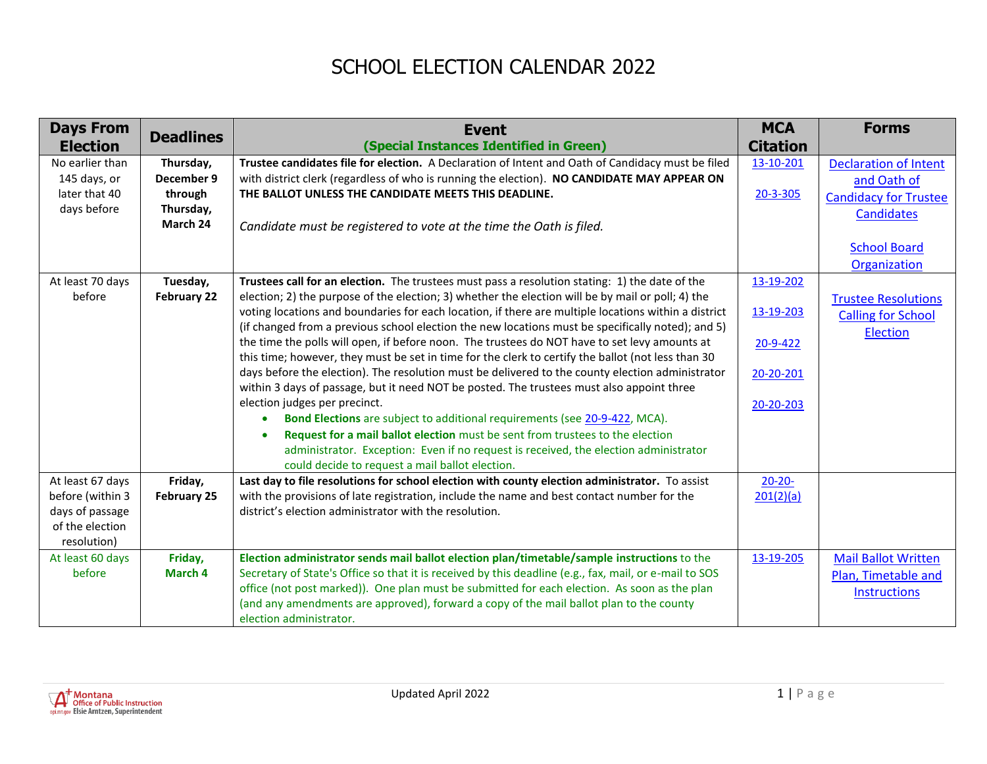## SCHOOL ELECTION CALENDAR 2022

| <b>Days From</b> | <b>Deadlines</b>   | <b>Event</b>                                                                                                                                                          | <b>MCA</b>      | <b>Forms</b>                 |
|------------------|--------------------|-----------------------------------------------------------------------------------------------------------------------------------------------------------------------|-----------------|------------------------------|
| <b>Election</b>  |                    | (Special Instances Identified in Green)                                                                                                                               | <b>Citation</b> |                              |
| No earlier than  | Thursday,          | Trustee candidates file for election. A Declaration of Intent and Oath of Candidacy must be filed                                                                     | 13-10-201       | <b>Declaration of Intent</b> |
| 145 days, or     | December 9         | with district clerk (regardless of who is running the election). NO CANDIDATE MAY APPEAR ON                                                                           |                 | and Oath of                  |
| later that 40    | through            | THE BALLOT UNLESS THE CANDIDATE MEETS THIS DEADLINE.                                                                                                                  | 20-3-305        | <b>Candidacy for Trustee</b> |
| days before      | Thursday,          |                                                                                                                                                                       |                 | <b>Candidates</b>            |
|                  | March 24           | Candidate must be registered to vote at the time the Oath is filed.                                                                                                   |                 |                              |
|                  |                    |                                                                                                                                                                       |                 | <b>School Board</b>          |
|                  |                    |                                                                                                                                                                       |                 | Organization                 |
| At least 70 days | Tuesday,           | Trustees call for an election. The trustees must pass a resolution stating: 1) the date of the                                                                        | 13-19-202       |                              |
| before           | <b>February 22</b> | election; 2) the purpose of the election; 3) whether the election will be by mail or poll; 4) the                                                                     |                 | <b>Trustee Resolutions</b>   |
|                  |                    | voting locations and boundaries for each location, if there are multiple locations within a district                                                                  | 13-19-203       | <b>Calling for School</b>    |
|                  |                    | (if changed from a previous school election the new locations must be specifically noted); and 5)                                                                     |                 | Election                     |
|                  |                    | the time the polls will open, if before noon. The trustees do NOT have to set levy amounts at                                                                         | 20-9-422        |                              |
|                  |                    | this time; however, they must be set in time for the clerk to certify the ballot (not less than 30                                                                    |                 |                              |
|                  |                    | days before the election). The resolution must be delivered to the county election administrator                                                                      | 20-20-201       |                              |
|                  |                    | within 3 days of passage, but it need NOT be posted. The trustees must also appoint three                                                                             |                 |                              |
|                  |                    | election judges per precinct.                                                                                                                                         | 20-20-203       |                              |
|                  |                    | Bond Elections are subject to additional requirements (see 20-9-422, MCA).<br>$\bullet$                                                                               |                 |                              |
|                  |                    | Request for a mail ballot election must be sent from trustees to the election<br>administrator. Exception: Even if no request is received, the election administrator |                 |                              |
|                  |                    | could decide to request a mail ballot election.                                                                                                                       |                 |                              |
| At least 67 days | Friday,            | Last day to file resolutions for school election with county election administrator. To assist                                                                        | $20 - 20 -$     |                              |
| before (within 3 | <b>February 25</b> | with the provisions of late registration, include the name and best contact number for the                                                                            | 201(2)(a)       |                              |
| days of passage  |                    | district's election administrator with the resolution.                                                                                                                |                 |                              |
| of the election  |                    |                                                                                                                                                                       |                 |                              |
| resolution)      |                    |                                                                                                                                                                       |                 |                              |
| At least 60 days | Friday,            | Election administrator sends mail ballot election plan/timetable/sample instructions to the                                                                           | 13-19-205       | <b>Mail Ballot Written</b>   |
| before           | March 4            | Secretary of State's Office so that it is received by this deadline (e.g., fax, mail, or e-mail to SOS                                                                |                 | Plan, Timetable and          |
|                  |                    | office (not post marked)). One plan must be submitted for each election. As soon as the plan                                                                          |                 | <b>Instructions</b>          |
|                  |                    | (and any amendments are approved), forward a copy of the mail ballot plan to the county                                                                               |                 |                              |
|                  |                    | election administrator.                                                                                                                                               |                 |                              |

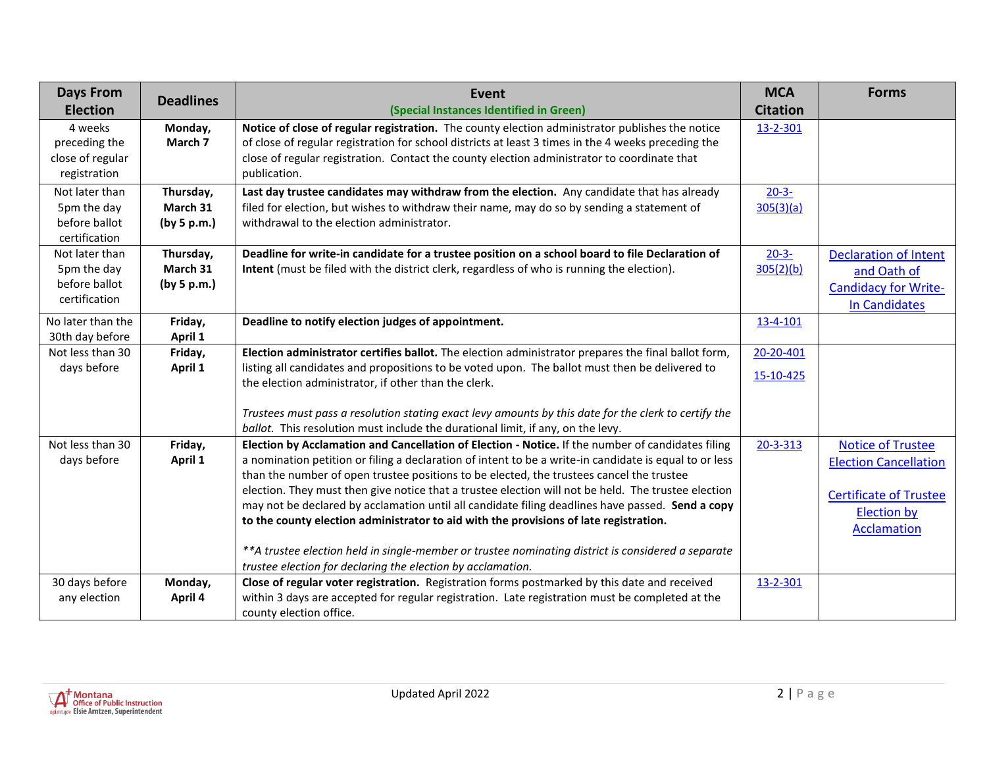| <b>Days From</b>                                                | <b>Deadlines</b>                     | Event                                                                                                                                                                                                                                                                                                                                                                                                                                                                                                                                                                                                       | <b>MCA</b>              | <b>Forms</b>                                                                                                                          |
|-----------------------------------------------------------------|--------------------------------------|-------------------------------------------------------------------------------------------------------------------------------------------------------------------------------------------------------------------------------------------------------------------------------------------------------------------------------------------------------------------------------------------------------------------------------------------------------------------------------------------------------------------------------------------------------------------------------------------------------------|-------------------------|---------------------------------------------------------------------------------------------------------------------------------------|
| <b>Election</b>                                                 |                                      | (Special Instances Identified in Green)                                                                                                                                                                                                                                                                                                                                                                                                                                                                                                                                                                     | <b>Citation</b>         |                                                                                                                                       |
| 4 weeks<br>preceding the<br>close of regular<br>registration    | Monday,<br>March 7                   | Notice of close of regular registration. The county election administrator publishes the notice<br>of close of regular registration for school districts at least 3 times in the 4 weeks preceding the<br>close of regular registration. Contact the county election administrator to coordinate that<br>publication.                                                                                                                                                                                                                                                                                       | 13-2-301                |                                                                                                                                       |
| Not later than<br>5pm the day<br>before ballot<br>certification | Thursday,<br>March 31<br>(by 5 p.m.) | Last day trustee candidates may withdraw from the election. Any candidate that has already<br>filed for election, but wishes to withdraw their name, may do so by sending a statement of<br>withdrawal to the election administrator.                                                                                                                                                                                                                                                                                                                                                                       | $20 - 3 -$<br>305(3)(a) |                                                                                                                                       |
| Not later than<br>5pm the day<br>before ballot<br>certification | Thursday,<br>March 31<br>(by 5 p.m.) | Deadline for write-in candidate for a trustee position on a school board to file Declaration of<br>Intent (must be filed with the district clerk, regardless of who is running the election).                                                                                                                                                                                                                                                                                                                                                                                                               | $20 - 3 -$<br>305(2)(b) | <b>Declaration of Intent</b><br>and Oath of<br><b>Candidacy for Write-</b><br><b>In Candidates</b>                                    |
| No later than the<br>30th day before                            | Friday,<br>April 1                   | Deadline to notify election judges of appointment.                                                                                                                                                                                                                                                                                                                                                                                                                                                                                                                                                          | 13-4-101                |                                                                                                                                       |
| Not less than 30<br>days before                                 | Friday,<br>April 1                   | Election administrator certifies ballot. The election administrator prepares the final ballot form,<br>listing all candidates and propositions to be voted upon. The ballot must then be delivered to<br>the election administrator, if other than the clerk.                                                                                                                                                                                                                                                                                                                                               | 20-20-401<br>15-10-425  |                                                                                                                                       |
|                                                                 |                                      | Trustees must pass a resolution stating exact levy amounts by this date for the clerk to certify the<br>ballot. This resolution must include the durational limit, if any, on the levy.                                                                                                                                                                                                                                                                                                                                                                                                                     |                         |                                                                                                                                       |
| Not less than 30<br>days before                                 | Friday,<br>April 1                   | Election by Acclamation and Cancellation of Election - Notice. If the number of candidates filing<br>a nomination petition or filing a declaration of intent to be a write-in candidate is equal to or less<br>than the number of open trustee positions to be elected, the trustees cancel the trustee<br>election. They must then give notice that a trustee election will not be held. The trustee election<br>may not be declared by acclamation until all candidate filing deadlines have passed. Send a copy<br>to the county election administrator to aid with the provisions of late registration. | 20-3-313                | <b>Notice of Trustee</b><br><b>Election Cancellation</b><br><b>Certificate of Trustee</b><br><b>Election by</b><br><b>Acclamation</b> |
|                                                                 |                                      | **A trustee election held in single-member or trustee nominating district is considered a separate<br>trustee election for declaring the election by acclamation.                                                                                                                                                                                                                                                                                                                                                                                                                                           |                         |                                                                                                                                       |
| 30 days before<br>any election                                  | Monday,<br>April 4                   | Close of regular voter registration. Registration forms postmarked by this date and received<br>within 3 days are accepted for regular registration. Late registration must be completed at the<br>county election office.                                                                                                                                                                                                                                                                                                                                                                                  | 13-2-301                |                                                                                                                                       |

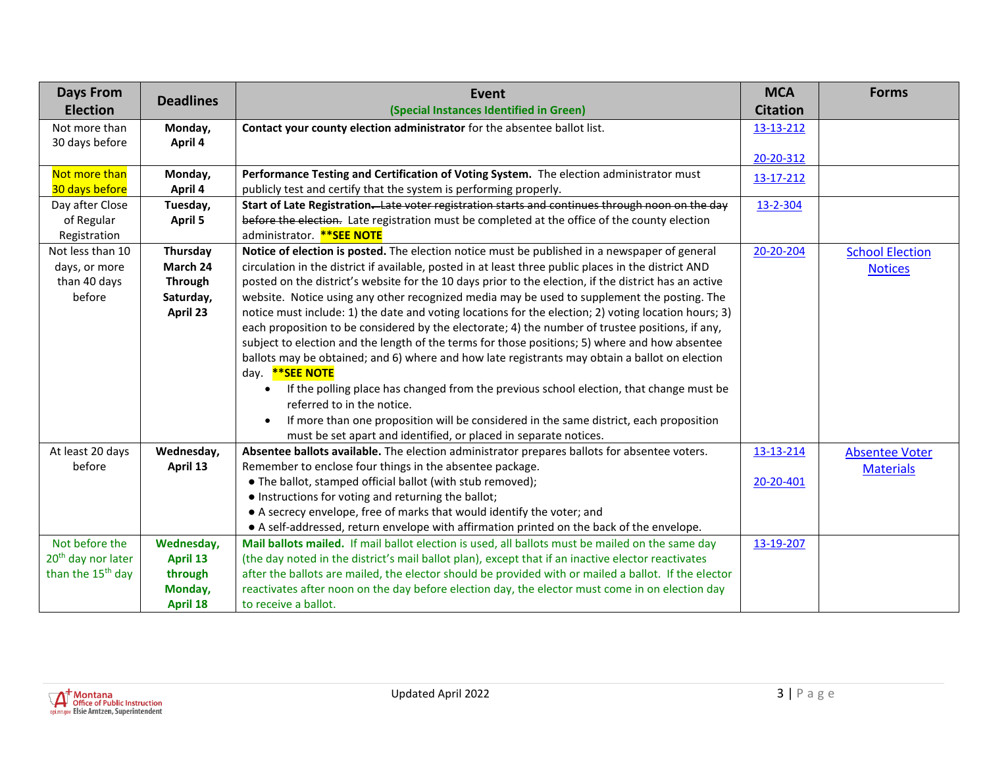| <b>Days From</b>               | <b>Deadlines</b> | Event                                                                                                 | <b>MCA</b>      | <b>Forms</b>           |
|--------------------------------|------------------|-------------------------------------------------------------------------------------------------------|-----------------|------------------------|
| <b>Election</b>                |                  | (Special Instances Identified in Green)                                                               | <b>Citation</b> |                        |
| Not more than                  | Monday,          | Contact your county election administrator for the absentee ballot list.                              | 13-13-212       |                        |
| 30 days before                 | April 4          |                                                                                                       |                 |                        |
|                                |                  |                                                                                                       | 20-20-312       |                        |
| Not more than                  | Monday,          | Performance Testing and Certification of Voting System. The election administrator must               | 13-17-212       |                        |
| 30 days before                 | April 4          | publicly test and certify that the system is performing properly.                                     |                 |                        |
| Day after Close                | Tuesday,         | Start of Late Registration-Late voter registration starts and continues through noon on the day       | 13-2-304        |                        |
| of Regular                     | <b>April 5</b>   | before the election. Late registration must be completed at the office of the county election         |                 |                        |
| Registration                   |                  | administrator. ** SEE NOTE                                                                            |                 |                        |
| Not less than 10               | Thursday         | Notice of election is posted. The election notice must be published in a newspaper of general         | 20-20-204       | <b>School Election</b> |
| days, or more                  | March 24         | circulation in the district if available, posted in at least three public places in the district AND  |                 | <b>Notices</b>         |
| than 40 days                   | <b>Through</b>   | posted on the district's website for the 10 days prior to the election, if the district has an active |                 |                        |
| before                         | Saturday,        | website. Notice using any other recognized media may be used to supplement the posting. The           |                 |                        |
|                                | April 23         | notice must include: 1) the date and voting locations for the election; 2) voting location hours; 3)  |                 |                        |
|                                |                  | each proposition to be considered by the electorate; 4) the number of trustee positions, if any,      |                 |                        |
|                                |                  | subject to election and the length of the terms for those positions; 5) where and how absentee        |                 |                        |
|                                |                  | ballots may be obtained; and 6) where and how late registrants may obtain a ballot on election        |                 |                        |
|                                |                  | day. ** SEE NOTE                                                                                      |                 |                        |
|                                |                  | If the polling place has changed from the previous school election, that change must be<br>$\bullet$  |                 |                        |
|                                |                  | referred to in the notice.                                                                            |                 |                        |
|                                |                  | If more than one proposition will be considered in the same district, each proposition<br>$\bullet$   |                 |                        |
|                                |                  | must be set apart and identified, or placed in separate notices.                                      |                 |                        |
| At least 20 days               | Wednesday,       | Absentee ballots available. The election administrator prepares ballots for absentee voters.          | 13-13-214       | <b>Absentee Voter</b>  |
| before                         | April 13         | Remember to enclose four things in the absentee package.                                              |                 | <b>Materials</b>       |
|                                |                  | • The ballot, stamped official ballot (with stub removed);                                            | 20-20-401       |                        |
|                                |                  | • Instructions for voting and returning the ballot;                                                   |                 |                        |
|                                |                  | • A secrecy envelope, free of marks that would identify the voter; and                                |                 |                        |
|                                |                  | • A self-addressed, return envelope with affirmation printed on the back of the envelope.             |                 |                        |
| Not before the                 | Wednesday,       | Mail ballots mailed. If mail ballot election is used, all ballots must be mailed on the same day      | 13-19-207       |                        |
| 20 <sup>th</sup> day nor later | April 13         | (the day noted in the district's mail ballot plan), except that if an inactive elector reactivates    |                 |                        |
| than the 15 <sup>th</sup> day  | through          | after the ballots are mailed, the elector should be provided with or mailed a ballot. If the elector  |                 |                        |
|                                | Monday,          | reactivates after noon on the day before election day, the elector must come in on election day       |                 |                        |
|                                | <b>April 18</b>  | to receive a ballot.                                                                                  |                 |                        |

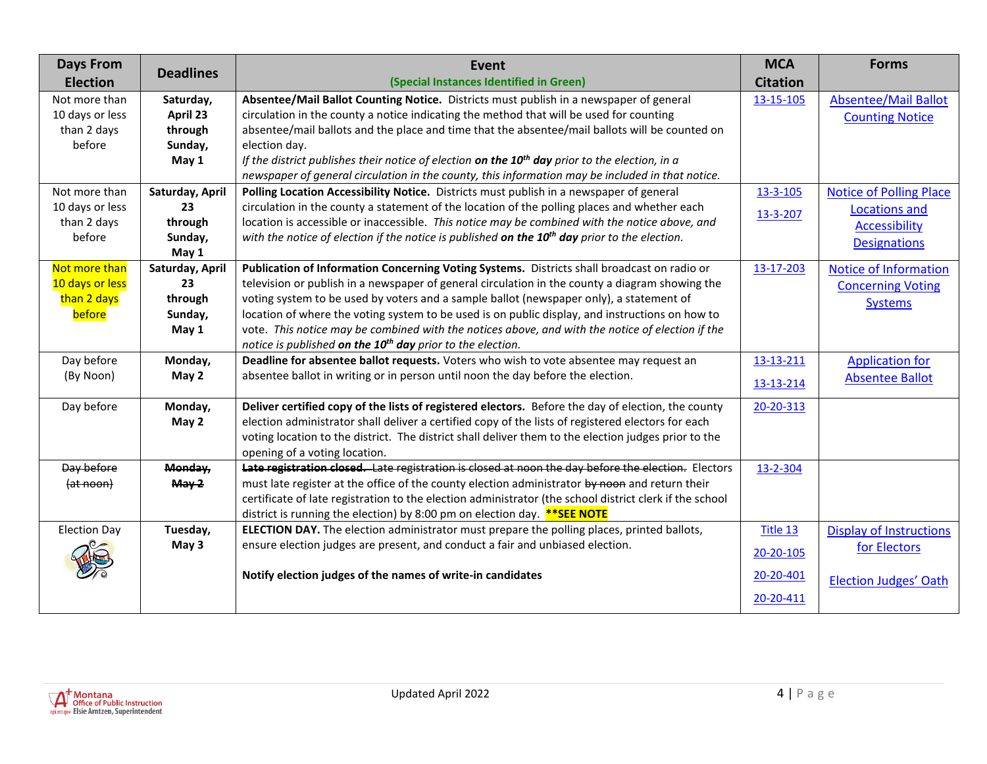| <b>Days From</b>    | <b>Deadlines</b> | Event                                                                                                   | <b>MCA</b>      | <b>Forms</b>                   |
|---------------------|------------------|---------------------------------------------------------------------------------------------------------|-----------------|--------------------------------|
| <b>Election</b>     |                  | (Special Instances Identified in Green)                                                                 | <b>Citation</b> |                                |
| Not more than       | Saturday,        | Absentee/Mail Ballot Counting Notice. Districts must publish in a newspaper of general                  | 13-15-105       | <b>Absentee/Mail Ballot</b>    |
| 10 days or less     | April 23         | circulation in the county a notice indicating the method that will be used for counting                 |                 | <b>Counting Notice</b>         |
| than 2 days         | through          | absentee/mail ballots and the place and time that the absentee/mail ballots will be counted on          |                 |                                |
| before              | Sunday,          | election day.                                                                                           |                 |                                |
|                     | May 1            | If the district publishes their notice of election on the $10^{th}$ day prior to the election, in a     |                 |                                |
|                     |                  | newspaper of general circulation in the county, this information may be included in that notice.        |                 |                                |
| Not more than       | Saturday, April  | Polling Location Accessibility Notice. Districts must publish in a newspaper of general                 | 13-3-105        | <b>Notice of Polling Place</b> |
| 10 days or less     | 23               | circulation in the county a statement of the location of the polling places and whether each            | 13-3-207        | <b>Locations and</b>           |
| than 2 days         | through          | location is accessible or inaccessible. This notice may be combined with the notice above, and          |                 | <b>Accessibility</b>           |
| before              | Sunday,          | with the notice of election if the notice is published on the $10th$ day prior to the election.         |                 | <b>Designations</b>            |
|                     | May 1            |                                                                                                         |                 |                                |
| Not more than       | Saturday, April  | Publication of Information Concerning Voting Systems. Districts shall broadcast on radio or             | 13-17-203       | <b>Notice of Information</b>   |
| 10 days or less     | 23               | television or publish in a newspaper of general circulation in the county a diagram showing the         |                 | <b>Concerning Voting</b>       |
| than 2 days         | through          | voting system to be used by voters and a sample ballot (newspaper only), a statement of                 |                 | <b>Systems</b>                 |
| before              | Sunday,          | location of where the voting system to be used is on public display, and instructions on how to         |                 |                                |
|                     | May 1            | vote. This notice may be combined with the notices above, and with the notice of election if the        |                 |                                |
|                     |                  | notice is published on the 10 <sup>th</sup> day prior to the election.                                  |                 |                                |
| Day before          | Monday,          | Deadline for absentee ballot requests. Voters who wish to vote absentee may request an                  | 13-13-211       | <b>Application for</b>         |
| (By Noon)           | May 2            | absentee ballot in writing or in person until noon the day before the election.                         | 13-13-214       | <b>Absentee Ballot</b>         |
|                     |                  |                                                                                                         |                 |                                |
| Day before          | Monday,          | Deliver certified copy of the lists of registered electors. Before the day of election, the county      | 20-20-313       |                                |
|                     | May 2            | election administrator shall deliver a certified copy of the lists of registered electors for each      |                 |                                |
|                     |                  | voting location to the district. The district shall deliver them to the election judges prior to the    |                 |                                |
|                     |                  | opening of a voting location.                                                                           |                 |                                |
| Day before          | Monday,          | Late registration closed. Late registration is closed at noon the day before the election. Electors     | 13-2-304        |                                |
| (at noon)           | May 2            | must late register at the office of the county election administrator by noon and return their          |                 |                                |
|                     |                  | certificate of late registration to the election administrator (the school district clerk if the school |                 |                                |
|                     |                  | district is running the election) by 8:00 pm on election day. **SEE NOTE                                |                 |                                |
| <b>Election Day</b> | Tuesday,         | ELECTION DAY. The election administrator must prepare the polling places, printed ballots,              | Title 13        | <b>Display of Instructions</b> |
|                     | May 3            | ensure election judges are present, and conduct a fair and unbiased election.                           | 20-20-105       | for Electors                   |
|                     |                  | Notify election judges of the names of write-in candidates                                              | 20-20-401       | <b>Election Judges' Oath</b>   |
|                     |                  |                                                                                                         | 20-20-411       |                                |
|                     |                  |                                                                                                         |                 |                                |

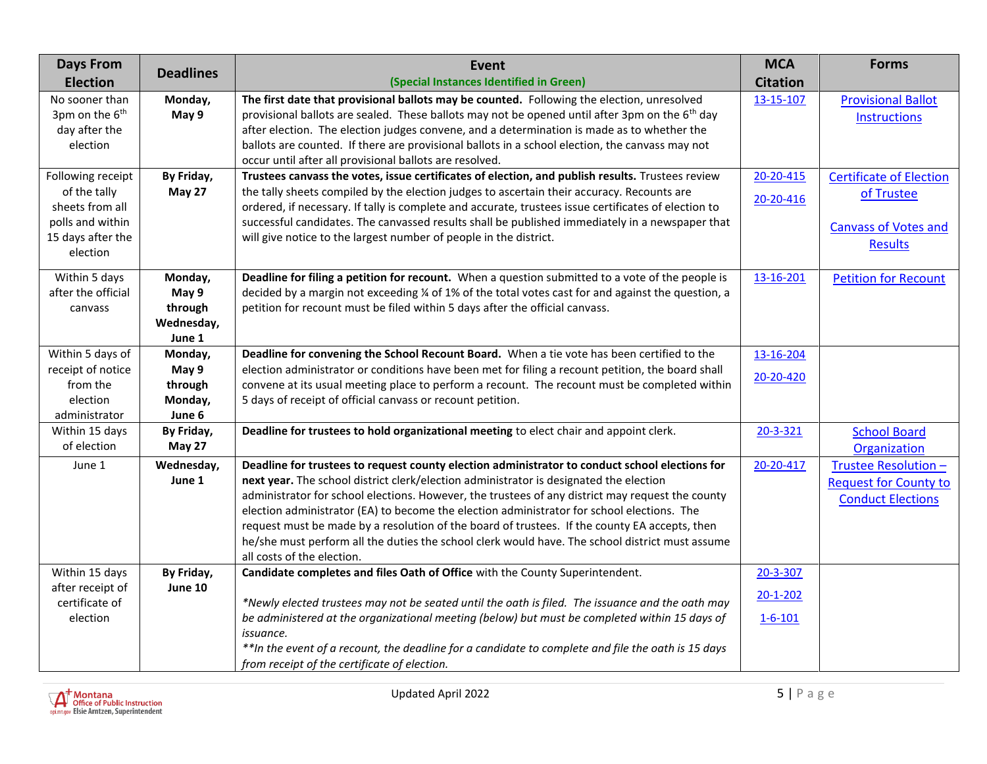| <b>Days From</b>           | <b>Deadlines</b> | <b>Event</b>                                                                                               | <b>MCA</b>      | <b>Forms</b>                   |
|----------------------------|------------------|------------------------------------------------------------------------------------------------------------|-----------------|--------------------------------|
| <b>Election</b>            |                  | (Special Instances Identified in Green)                                                                    | <b>Citation</b> |                                |
| No sooner than             | Monday,          | The first date that provisional ballots may be counted. Following the election, unresolved                 | 13-15-107       | <b>Provisional Ballot</b>      |
| 3pm on the 6 <sup>th</sup> | May 9            | provisional ballots are sealed. These ballots may not be opened until after 3pm on the 6 <sup>th</sup> day |                 | <b>Instructions</b>            |
| day after the              |                  | after election. The election judges convene, and a determination is made as to whether the                 |                 |                                |
| election                   |                  | ballots are counted. If there are provisional ballots in a school election, the canvass may not            |                 |                                |
|                            |                  | occur until after all provisional ballots are resolved.                                                    |                 |                                |
| Following receipt          | By Friday,       | Trustees canvass the votes, issue certificates of election, and publish results. Trustees review           | 20-20-415       | <b>Certificate of Election</b> |
| of the tally               | May 27           | the tally sheets compiled by the election judges to ascertain their accuracy. Recounts are                 | 20-20-416       | of Trustee                     |
| sheets from all            |                  | ordered, if necessary. If tally is complete and accurate, trustees issue certificates of election to       |                 |                                |
| polls and within           |                  | successful candidates. The canvassed results shall be published immediately in a newspaper that            |                 | <b>Canvass of Votes and</b>    |
| 15 days after the          |                  | will give notice to the largest number of people in the district.                                          |                 | <b>Results</b>                 |
| election                   |                  |                                                                                                            |                 |                                |
| Within 5 days              | Monday,          | Deadline for filing a petition for recount. When a question submitted to a vote of the people is           | 13-16-201       | <b>Petition for Recount</b>    |
| after the official         | May 9            | decided by a margin not exceeding 1/4 of 1% of the total votes cast for and against the question, a        |                 |                                |
| canvass                    | through          | petition for recount must be filed within 5 days after the official canvass.                               |                 |                                |
|                            | Wednesday,       |                                                                                                            |                 |                                |
|                            | June 1           |                                                                                                            |                 |                                |
| Within 5 days of           | Monday,          | Deadline for convening the School Recount Board. When a tie vote has been certified to the                 | 13-16-204       |                                |
| receipt of notice          | May 9            | election administrator or conditions have been met for filing a recount petition, the board shall          | 20-20-420       |                                |
| from the                   | through          | convene at its usual meeting place to perform a recount. The recount must be completed within              |                 |                                |
| election                   | Monday,          | 5 days of receipt of official canvass or recount petition.                                                 |                 |                                |
| administrator              | June 6           |                                                                                                            |                 |                                |
| Within 15 days             | By Friday,       | Deadline for trustees to hold organizational meeting to elect chair and appoint clerk.                     | 20-3-321        | <b>School Board</b>            |
| of election                | May 27           |                                                                                                            |                 | Organization                   |
| June 1                     | Wednesday,       | Deadline for trustees to request county election administrator to conduct school elections for             | 20-20-417       | Trustee Resolution -           |
|                            | June 1           | next year. The school district clerk/election administrator is designated the election                     |                 | <b>Request for County to</b>   |
|                            |                  | administrator for school elections. However, the trustees of any district may request the county           |                 | <b>Conduct Elections</b>       |
|                            |                  | election administrator (EA) to become the election administrator for school elections. The                 |                 |                                |
|                            |                  | request must be made by a resolution of the board of trustees. If the county EA accepts, then              |                 |                                |
|                            |                  | he/she must perform all the duties the school clerk would have. The school district must assume            |                 |                                |
| Within 15 days             | By Friday,       | all costs of the election.<br>Candidate completes and files Oath of Office with the County Superintendent. | 20-3-307        |                                |
| after receipt of           | June 10          |                                                                                                            |                 |                                |
| certificate of             |                  | *Newly elected trustees may not be seated until the oath is filed. The issuance and the oath may           | $20 - 1 - 202$  |                                |
| election                   |                  | be administered at the organizational meeting (below) but must be completed within 15 days of              | $1 - 6 - 101$   |                                |
|                            |                  | issuance.                                                                                                  |                 |                                |
|                            |                  | ** In the event of a recount, the deadline for a candidate to complete and file the oath is 15 days        |                 |                                |
|                            |                  | from receipt of the certificate of election.                                                               |                 |                                |

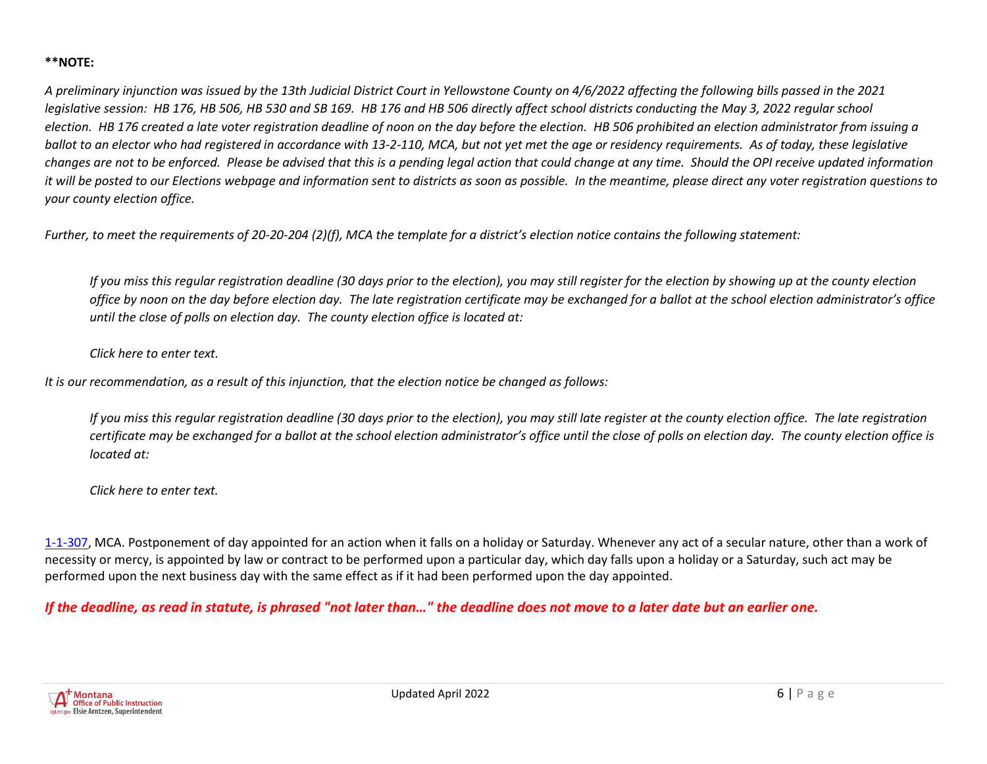## **\*\*NOTE:**

*A preliminary injunction was issued by the 13th Judicial District Court in Yellowstone County on 4/6/2022 affecting the following bills passed in the 2021 legislative session: HB 176, HB 506, HB 530 and SB 169. HB 176 and HB 506 directly affect school districts conducting the May 3, 2022 regular school election. HB 176 created a late voter registration deadline of noon on the day before the election. HB 506 prohibited an election administrator from issuing a ballot to an elector who had registered in accordance with 13-2-110, MCA, but not yet met the age or residency requirements. As of today, these legislative changes are not to be enforced. Please be advised that this is a pending legal action that could change at any time. Should the OPI receive updated information it will be posted to our Elections webpage and information sent to districts as soon as possible. In the meantime, please direct any voter registration questions to your county election office.*

*Further, to meet the requirements of 20-20-204 (2)(f), MCA the template for a district's election notice contains the following statement:*

*If you miss this regular registration deadline (30 days prior to the election), you may still register for the election by showing up at the county election office by noon on the day before election day. The late registration certificate may be exchanged for a ballot at the school election administrator's office until the close of polls on election day. The county election office is located at:*

*Click here to enter text.*

*It is our recommendation, as a result of this injunction, that the election notice be changed as follows:*

*If you miss this regular registration deadline (30 days prior to the election), you may still late register at the county election office. The late registration certificate may be exchanged for a ballot at the school election administrator's office until the close of polls on election day. The county election office is located at:*

*Click here to enter text.*

[1-1-307,](http://leg.mt.gov/bills/mca/title_0010/chapter_0010/part_0030/section_0070/0010-0010-0030-0070.html) MCA. Postponement of day appointed for an action when it falls on a holiday or Saturday. Whenever any act of a secular nature, other than a work of necessity or mercy, is appointed by law or contract to be performed upon a particular day, which day falls upon a holiday or a Saturday, such act may be performed upon the next business day with the same effect as if it had been performed upon the day appointed.

*If the deadline, as read in statute, is phrased "not later than…" the deadline does not move to a later date but an earlier one.*